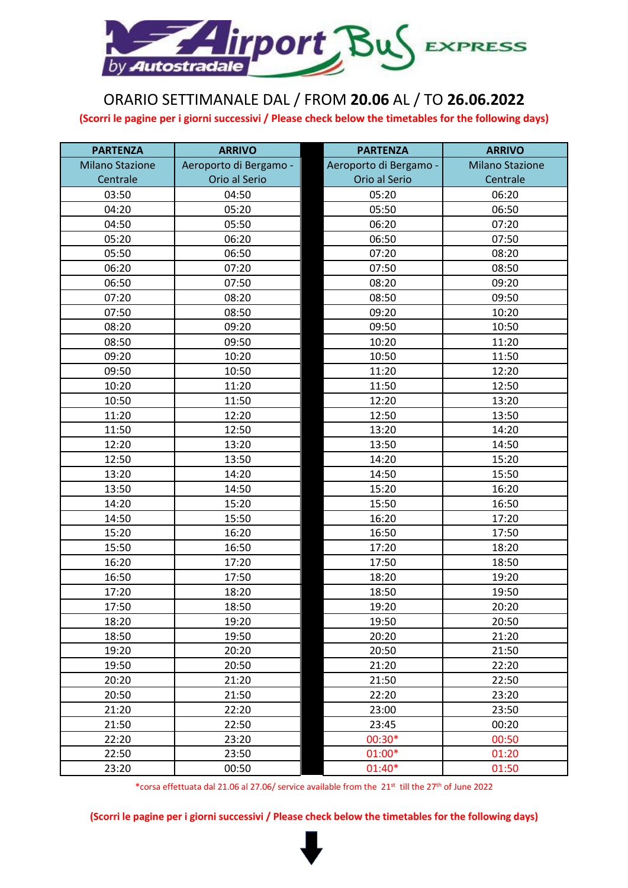

## ORARIO SETTIMANALE DAL / FROM **20.06** AL / TO **26.06.2022**

**(Scorri le pagine per i giorni successivi / Please check below the timetables for the following days)**

| <b>PARTENZA</b>        | <b>ARRIVO</b>          | <b>PARTENZA</b>        | <b>ARRIVO</b>          |
|------------------------|------------------------|------------------------|------------------------|
| <b>Milano Stazione</b> | Aeroporto di Bergamo - | Aeroporto di Bergamo - | <b>Milano Stazione</b> |
| Centrale               | Orio al Serio          | Orio al Serio          | Centrale               |
| 03:50                  | 04:50                  | 05:20                  | 06:20                  |
| 04:20                  | 05:20                  | 05:50                  | 06:50                  |
| 04:50                  | 05:50                  | 06:20                  | 07:20                  |
| 05:20                  | 06:20                  | 06:50                  | 07:50                  |
| 05:50                  | 06:50                  | 07:20                  | 08:20                  |
| 06:20                  | 07:20                  | 07:50                  | 08:50                  |
| 06:50                  | 07:50                  | 08:20                  | 09:20                  |
| 07:20                  | 08:20                  | 08:50                  | 09:50                  |
| 07:50                  | 08:50                  | 09:20                  | 10:20                  |
| 08:20                  | 09:20                  | 09:50                  | 10:50                  |
| 08:50                  | 09:50                  | 10:20                  | 11:20                  |
| 09:20                  | 10:20                  | 10:50                  | 11:50                  |
| 09:50                  | 10:50                  | 11:20                  | 12:20                  |
| 10:20                  | 11:20                  | 11:50                  | 12:50                  |
| 10:50                  | 11:50                  | 12:20                  | 13:20                  |
| 11:20                  | 12:20                  | 12:50                  | 13:50                  |
| 11:50                  | 12:50                  | 13:20                  | 14:20                  |
| 12:20                  | 13:20                  | 13:50                  | 14:50                  |
| 12:50                  | 13:50                  | 14:20                  | 15:20                  |
| 13:20                  | 14:20                  | 14:50                  | 15:50                  |
| 13:50                  | 14:50                  | 15:20                  | 16:20                  |
| 14:20                  | 15:20                  | 15:50                  | 16:50                  |
| 14:50                  | 15:50                  | 16:20                  | 17:20                  |
| 15:20                  | 16:20                  | 16:50                  | 17:50                  |
| 15:50                  | 16:50                  | 17:20                  | 18:20                  |
| 16:20                  | 17:20                  | 17:50                  | 18:50                  |
| 16:50                  | 17:50                  | 18:20                  | 19:20                  |
| 17:20                  | 18:20                  | 18:50                  | 19:50                  |
| 17:50                  | 18:50                  | 19:20                  | 20:20                  |
| 18:20                  | 19:20                  | 19:50                  | 20:50                  |
| 18:50                  | 19:50                  | 20:20                  | 21:20                  |
| 19:20                  | 20:20                  | 20:50                  | 21:50                  |
| 19:50                  | 20:50                  | 21:20                  | 22:20                  |
| 20:20                  | 21:20                  | 21:50                  | 22:50                  |
| 20:50                  | 21:50                  | 22:20                  | 23:20                  |
| 21:20                  | 22:20                  | 23:00                  | 23:50                  |
| 21:50                  | 22:50                  | 23:45                  | 00:20                  |
| 22:20                  | 23:20                  | 00:30*                 | 00:50                  |
| 22:50                  | 23:50                  | 01:00*                 | 01:20                  |
| 23:20                  | 00:50                  | 01:40*                 | 01:50                  |

\*corsa effettuata dal 21.06 al 27.06/ service available from the 21st till the 27th of June 2022

**(Scorri le pagine per i giorni successivi / Please check below the timetables for the following days)**